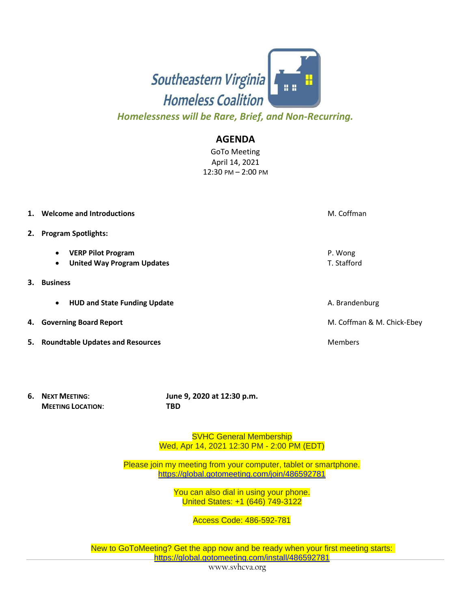

*Homelessness will be Rare, Brief, and Non-Recurring.*

## **AGENDA**

GoTo Meeting April 14, 2021 12:30 PM – 2:00 PM

| 1. | Welcome and Introductions                                                                | M. Coffman                 |  |
|----|------------------------------------------------------------------------------------------|----------------------------|--|
| 2. | <b>Program Spotlights:</b>                                                               |                            |  |
|    | <b>VERP Pilot Program</b><br>$\bullet$<br><b>United Way Program Updates</b><br>$\bullet$ | P. Wong<br>T. Stafford     |  |
| 3. | <b>Business</b>                                                                          |                            |  |
|    | <b>HUD and State Funding Update</b><br>$\bullet$                                         | A. Brandenburg             |  |
| 4. | <b>Governing Board Report</b>                                                            | M. Coffman & M. Chick-Ebey |  |
|    | 5. Roundtable Updates and Resources                                                      | <b>Members</b>             |  |

**MEETING LOCATION**: **TBD**

**6. NEXT MEETING**: **June 9, 2020 at 12:30 p.m.**

SVHC General Membership Wed, Apr 14, 2021 12:30 PM - 2:00 PM (EDT)

Please join my meeting from your computer, tablet or smartphone. <https://global.gotomeeting.com/join/486592781>

> You can also dial in using your phone. United States: +1 (646) 749-3122

> > Access Code: 486-592-781

New to GoToMeeting? Get the app now and be ready when your first meeting starts: <https://global.gotomeeting.com/install/486592781>

www.svhcva.org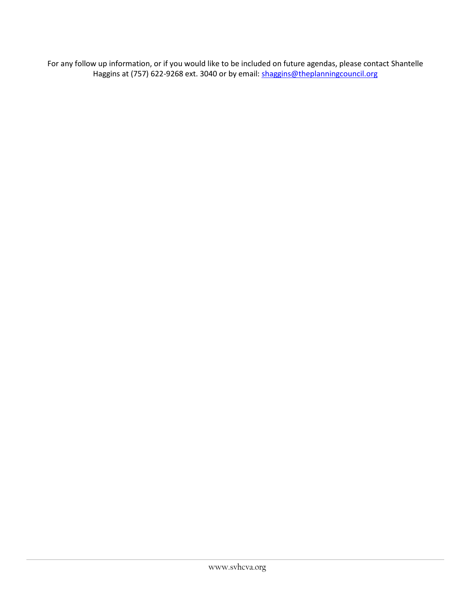For any follow up information, or if you would like to be included on future agendas, please contact Shantelle Haggins at (757) 622-9268 ext. 3040 or by email: [shaggins@theplanningcouncil.org](mailto:shaggins@theplanningcouncil.org)